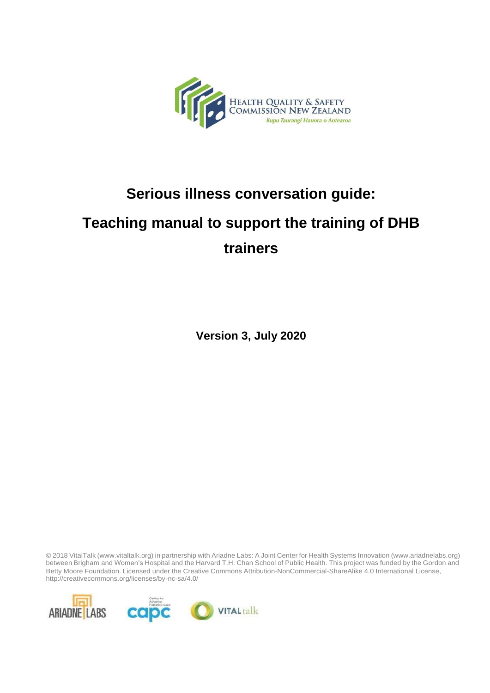

## **Serious illness conversation guide:**

# **Teaching manual to support the training of DHB trainers**

**Version 3, July 2020**

© 2018 VitalTalk (www.vitaltalk.org) in partnership with Ariadne Labs: A Joint Center for Health Systems Innovation (www.ariadnelabs.org) between Brigham and Women's Hospital and the Harvard T.H. Chan School of Public Health. This project was funded by the Gordon and Betty Moore Foundation. Licensed under the Creative Commons Attribution-NonCommercial-ShareAlike 4.0 International License, <http://creativecommons.org/licenses/by-nc-sa/4.0/>

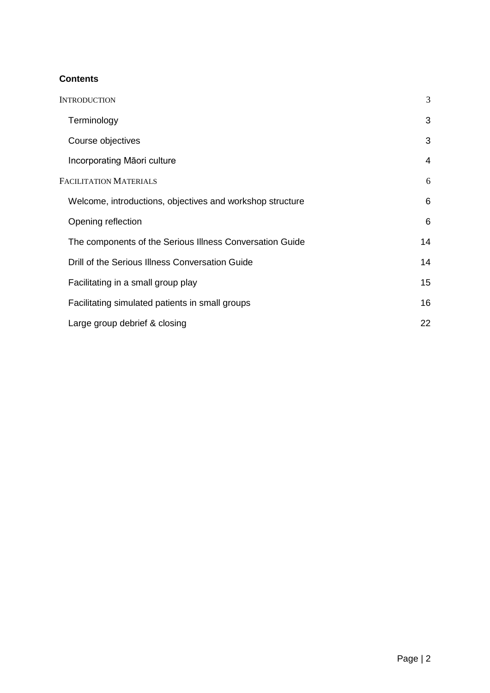#### **Contents**

| <b>INTRODUCTION</b>                                       | 3  |
|-----------------------------------------------------------|----|
| Terminology                                               | 3  |
| Course objectives                                         | 3  |
| Incorporating Māori culture                               | 4  |
| <b>FACILITATION MATERIALS</b>                             | 6  |
| Welcome, introductions, objectives and workshop structure | 6  |
| Opening reflection                                        | 6  |
| The components of the Serious Illness Conversation Guide  | 14 |
| Drill of the Serious Illness Conversation Guide           | 14 |
| Facilitating in a small group play                        | 15 |
| Facilitating simulated patients in small groups           | 16 |
| Large group debrief & closing                             | 22 |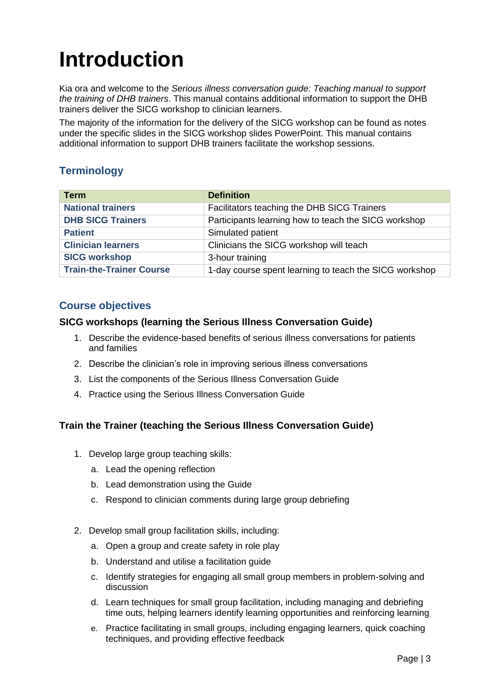# <span id="page-2-0"></span>**Introduction**

Kia ora and welcome to the *Serious illness conversation guide: Teaching manual to support the training of DHB trainers*. This manual contains additional information to support the DHB trainers deliver the SICG workshop to clinician learners.

The majority of the information for the delivery of the SICG workshop can be found as notes under the specific slides in the SICG workshop slides PowerPoint. This manual contains additional information to support DHB trainers facilitate the workshop sessions.

#### <span id="page-2-1"></span>**Terminology**

| <b>Term</b>                     | <b>Definition</b>                                      |
|---------------------------------|--------------------------------------------------------|
| <b>National trainers</b>        | Facilitators teaching the DHB SICG Trainers            |
| <b>DHB SICG Trainers</b>        | Participants learning how to teach the SICG workshop   |
| <b>Patient</b>                  | Simulated patient                                      |
| <b>Clinician learners</b>       | Clinicians the SICG workshop will teach                |
| <b>SICG workshop</b>            | 3-hour training                                        |
| <b>Train-the-Trainer Course</b> | 1-day course spent learning to teach the SICG workshop |

#### <span id="page-2-2"></span>**Course objectives**

#### **SICG workshops (learning the Serious Illness Conversation Guide)**

- 1. Describe the evidence-based benefits of serious illness conversations for patients and families
- 2. Describe the clinician's role in improving serious illness conversations
- 3. List the components of the Serious Illness Conversation Guide
- 4. Practice using the Serious Illness Conversation Guide

#### **Train the Trainer (teaching the Serious Illness Conversation Guide)**

- 1. Develop large group teaching skills:
	- a. Lead the opening reflection
	- b. Lead demonstration using the Guide
	- c. Respond to clinician comments during large group debriefing
- 2. Develop small group facilitation skills, including:
	- a. Open a group and create safety in role play
	- b. Understand and utilise a facilitation guide
	- c. Identify strategies for engaging all small group members in problem-solving and discussion
	- d. Learn techniques for small group facilitation, including managing and debriefing time outs, helping learners identify learning opportunities and reinforcing learning
	- e. Practice facilitating in small groups, including engaging learners, quick coaching techniques, and providing effective feedback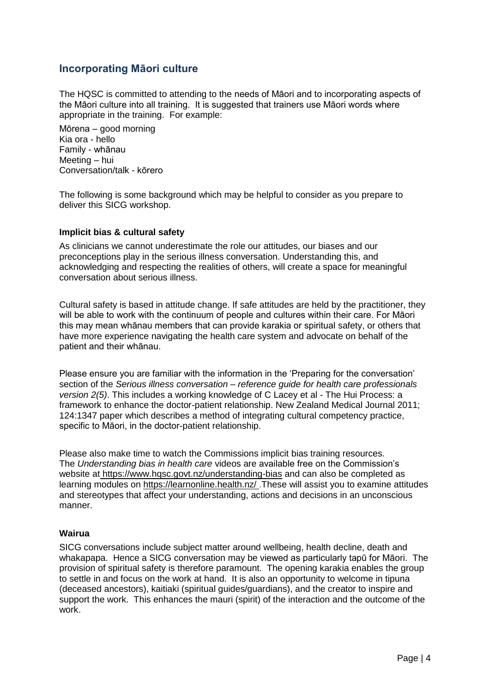#### <span id="page-3-0"></span>**Incorporating Māori culture**

The HQSC is committed to attending to the needs of Māori and to incorporating aspects of the Māori culture into all training. It is suggested that trainers use Māori words where appropriate in the training. For example:

Mōrena – good morning Kia ora - hello Family - whānau Meeting – hui Conversation/talk - kōrero

The following is some background which may be helpful to consider as you prepare to deliver this SICG workshop.

#### **Implicit bias & cultural safety**

As clinicians we cannot underestimate the role our attitudes, our biases and our preconceptions play in the serious illness conversation. Understanding this, and acknowledging and respecting the realities of others, will create a space for meaningful conversation about serious illness.

Cultural safety is based in attitude change. If safe attitudes are held by the practitioner, they will be able to work with the continuum of people and cultures within their care. For Māori this may mean whānau members that can provide karakia or spiritual safety, or others that have more experience navigating the health care system and advocate on behalf of the patient and their whānau.

Please ensure you are familiar with the information in the 'Preparing for the conversation' section of the *Serious illness conversation – reference guide for health care professionals version 2(5)*. This includes a working knowledge of C Lacey et al - The Hui Process: a framework to enhance the doctor-patient relationship. New Zealand Medical Journal 2011; 124:1347 paper which describes a method of integrating cultural competency practice, specific to Māori, in the doctor-patient relationship.

Please also make time to watch the Commissions implicit bias training resources. The *Understanding bias in health care* videos are available free on the Commission's website at https:/[/www.hqsc.govt.nz/understanding-bias](http://www.hqsc.govt.nz/understanding-bias) and can also be completed as learning modules on https://learnonline.health.nz/ .These will assist you to examine attitudes and stereotypes that affect your understanding, actions and decisions in an unconscious manner.

#### **Wairua**

SICG conversations include subject matter around wellbeing, health decline, death and whakapapa. Hence a SICG conversation may be viewed as particularly tapū for Māori. The provision of spiritual safety is therefore paramount. The opening karakia enables the group to settle in and focus on the work at hand. It is also an opportunity to welcome in tipuna (deceased ancestors), kaitiaki (spiritual guides/guardians), and the creator to inspire and support the work. This enhances the mauri (spirit) of the interaction and the outcome of the work.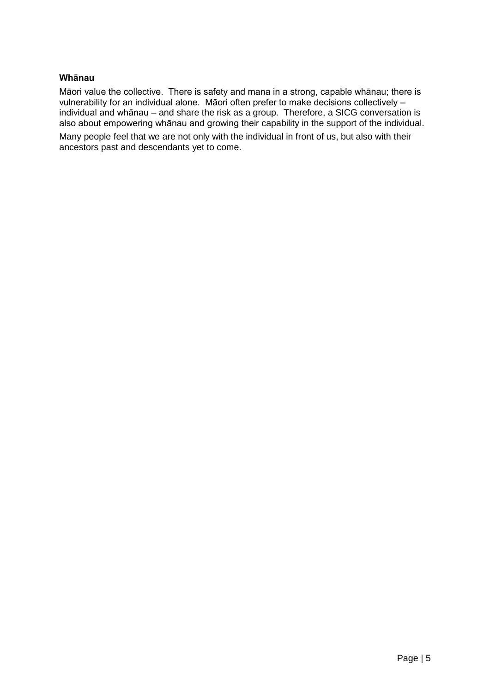#### **Whānau**

Māori value the collective. There is safety and mana in a strong, capable whānau; there is vulnerability for an individual alone. Māori often prefer to make decisions collectively – individual and whānau – and share the risk as a group. Therefore, a SICG conversation is also about empowering whānau and growing their capability in the support of the individual.

Many people feel that we are not only with the individual in front of us, but also with their ancestors past and descendants yet to come.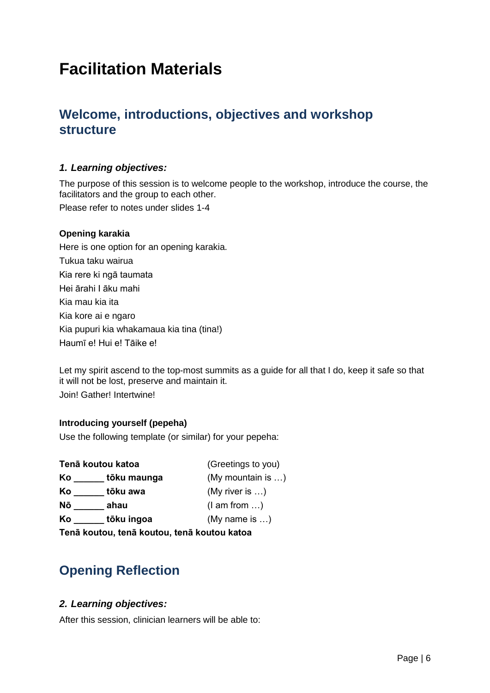# <span id="page-5-0"></span>**Facilitation Materials**

### <span id="page-5-1"></span>**Welcome, introductions, objectives and workshop structure**

#### *1. Learning objectives:*

The purpose of this session is to welcome people to the workshop, introduce the course, the facilitators and the group to each other.

Please refer to notes under slides 1-4

#### **Opening karakia**

Here is one option for an opening karakia. Tukua taku wairua Kia rere ki ngā taumata Hei ārahi I āku mahi Kia mau kia ita Kia kore ai e ngaro Kia pupuri kia whakamaua kia tina (tina!) Haumī e! Hui e! Tāike e!

Let my spirit ascend to the top-most summits as a guide for all that I do, keep it safe so that it will not be lost, preserve and maintain it. Join! Gather! Intertwine!

#### **Introducing yourself (pepeha)**

Use the following template (or similar) for your pepeha:

|    | Tenā koutou katoa                           | (Greetings to you)     |
|----|---------------------------------------------|------------------------|
| Ko | tōku maunga                                 | (My mountain is )      |
| Ko | tōku awa                                    | (My river is $\dots$ ) |
| Nō | ahau                                        | $(l \text{ am from} )$ |
| Ko | tōku ingoa                                  | (My name is $\dots$ )  |
|    | Tenā koutou, tenā koutou, tenā koutou katoa |                        |

### <span id="page-5-2"></span>**Opening Reflection**

#### *2. Learning objectives:*

After this session, clinician learners will be able to: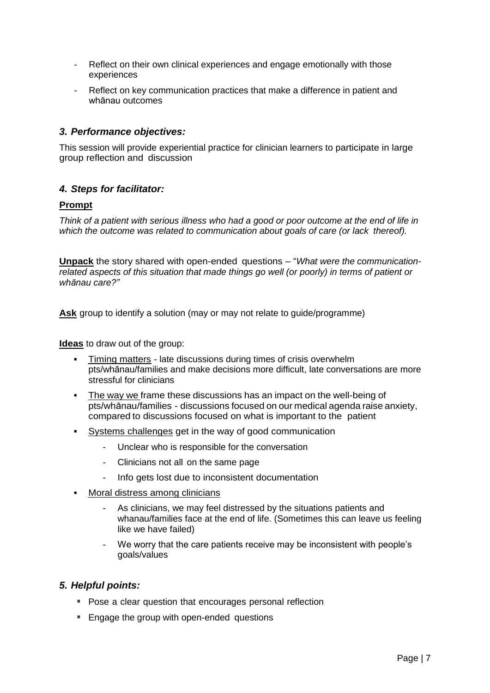- Reflect on their own clinical experiences and engage emotionally with those experiences
- Reflect on key communication practices that make a difference in patient and whānau outcomes

#### *3. Performance objectives:*

This session will provide experiential practice for clinician learners to participate in large group reflection and discussion

#### *4. Steps for facilitator:*

#### **Prompt**

*Think of a patient with serious illness who had a good or poor outcome at the end of life in which the outcome was related to communication about goals of care (or lack thereof).*

**Unpack** the story shared with open-ended questions – "*What were the communicationrelated aspects of this situation that made things go well (or poorly) in terms of patient or whānau care?"*

Ask group to identify a solution (may or may not relate to guide/programme)

**Ideas** to draw out of the group:

- **Timing matters late discussions during times of crisis overwhelm** pts/whānau/families and make decisions more difficult, late conversations are more stressful for clinicians
- The way we frame these discussions has an impact on the well-being of pts/whānau/families - discussions focused on our medical agenda raise anxiety, compared to discussions focused on what is important to the patient
- Systems challenges get in the way of good communication
	- Unclear who is responsible for the conversation
	- Clinicians not all on the same page
	- Info gets lost due to inconsistent documentation
- Moral distress among clinicians
	- As clinicians, we may feel distressed by the situations patients and whanau/families face at the end of life. (Sometimes this can leave us feeling like we have failed)
	- We worry that the care patients receive may be inconsistent with people's goals/values

#### *5. Helpful points:*

- **Pose a clear question that encourages personal reflection**
- **Engage the group with open-ended questions**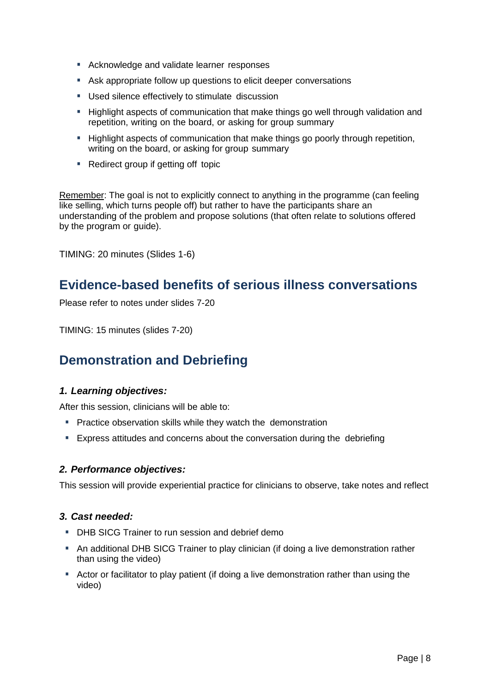- Acknowledge and validate learner responses
- Ask appropriate follow up questions to elicit deeper conversations
- **Used silence effectively to stimulate discussion**
- **Highlight aspects of communication that make things go well through validation and** repetition, writing on the board, or asking for group summary
- **Highlight aspects of communication that make things go poorly through repetition,** writing on the board, or asking for group summary
- Redirect group if getting off topic

Remember: The goal is not to explicitly connect to anything in the programme (can feeling like selling, which turns people off) but rather to have the participants share an understanding of the problem and propose solutions (that often relate to solutions offered by the program or guide).

TIMING: 20 minutes (Slides 1-6)

### **Evidence-based benefits of serious illness conversations**

Please refer to notes under slides 7-20

TIMING: 15 minutes (slides 7-20)

### **Demonstration and Debriefing**

#### *1. Learning objectives:*

After this session, clinicians will be able to:

- **Practice observation skills while they watch the demonstration**
- Express attitudes and concerns about the conversation during the debriefing

#### *2. Performance objectives:*

This session will provide experiential practice for clinicians to observe, take notes and reflect

#### *3. Cast needed:*

- **DHB SICG Trainer to run session and debrief demo**
- An additional DHB SICG Trainer to play clinician (if doing a live demonstration rather than using the video)
- Actor or facilitator to play patient (if doing a live demonstration rather than using the video)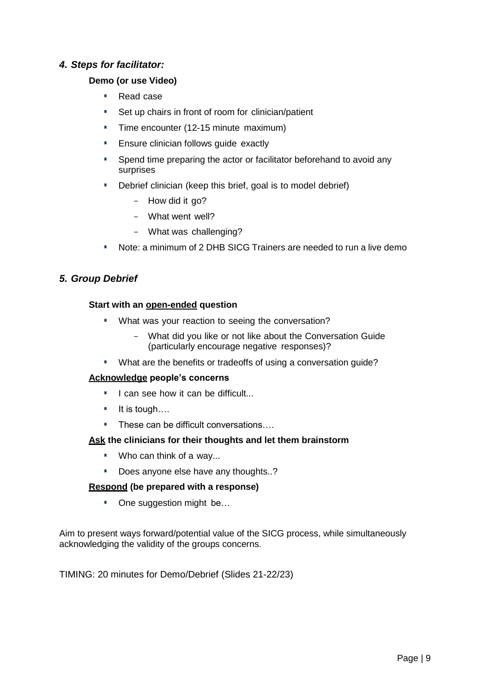#### *4. Steps for facilitator:*

#### **Demo (or use Video)**

- Read case
- **Set up chairs in front of room for clinician/patient**
- **Time encounter (12-15 minute maximum)**
- **Ensure clinician follows quide exactly**
- **Spend time preparing the actor or facilitator beforehand to avoid any** surprises
- Debrief clinician (keep this brief, goal is to model debrief)
	- How did it go?
	- What went well?
	- What was challenging?
- Note: a minimum of 2 DHB SICG Trainers are needed to run a live demo

#### *5. Group Debrief*

#### **Start with an open-ended question**

- **What was your reaction to seeing the conversation?** 
	- What did you like or not like about the Conversation Guide (particularly encourage negative responses)?
- **What are the benefits or tradeoffs of using a conversation guide?**

#### **Acknowledge people's concerns**

- I can see how it can be difficult...
- It is tough….
- These can be difficult conversations....

#### **Ask the clinicians for their thoughts and let them brainstorm**

- **Who can think of a way...**
- Does anyone else have any thoughts..?

#### **Respond (be prepared with a response)**

■ One suggestion might be...

Aim to present ways forward/potential value of the SICG process, while simultaneously acknowledging the validity of the groups concerns.

TIMING: 20 minutes for Demo/Debrief (Slides 21-22/23)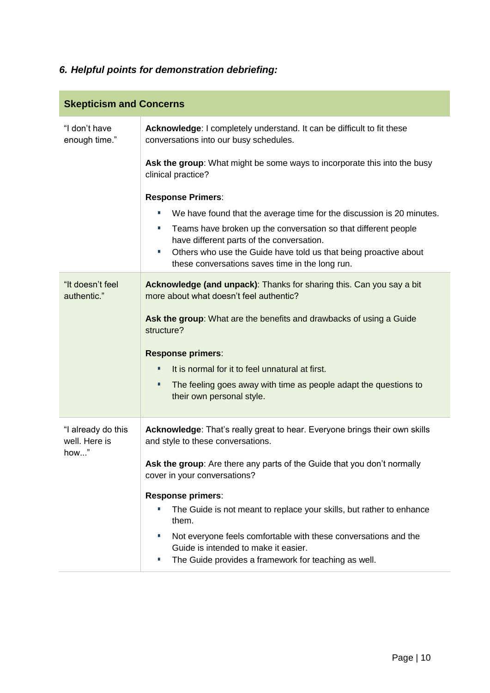### *6. Helpful points for demonstration debriefing:*

| <b>Skepticism and Concerns</b>              |                                                                                                                                                                                                                                                                                                                             |
|---------------------------------------------|-----------------------------------------------------------------------------------------------------------------------------------------------------------------------------------------------------------------------------------------------------------------------------------------------------------------------------|
| "I don't have<br>enough time."              | Acknowledge: I completely understand. It can be difficult to fit these<br>conversations into our busy schedules.                                                                                                                                                                                                            |
|                                             | Ask the group: What might be some ways to incorporate this into the busy<br>clinical practice?                                                                                                                                                                                                                              |
|                                             | <b>Response Primers:</b>                                                                                                                                                                                                                                                                                                    |
|                                             | We have found that the average time for the discussion is 20 minutes.<br>ш<br>Teams have broken up the conversation so that different people<br>ш<br>have different parts of the conversation.<br>Others who use the Guide have told us that being proactive about<br>u,<br>these conversations saves time in the long run. |
| "It doesn't feel<br>authentic."             | Acknowledge (and unpack): Thanks for sharing this. Can you say a bit<br>more about what doesn't feel authentic?                                                                                                                                                                                                             |
|                                             | Ask the group: What are the benefits and drawbacks of using a Guide<br>structure?                                                                                                                                                                                                                                           |
|                                             | <b>Response primers:</b>                                                                                                                                                                                                                                                                                                    |
|                                             | It is normal for it to feel unnatural at first.<br>٠                                                                                                                                                                                                                                                                        |
|                                             | ٠<br>The feeling goes away with time as people adapt the questions to<br>their own personal style.                                                                                                                                                                                                                          |
| "I already do this<br>well. Here is<br>how" | Acknowledge: That's really great to hear. Everyone brings their own skills<br>and style to these conversations.                                                                                                                                                                                                             |
|                                             | Ask the group: Are there any parts of the Guide that you don't normally<br>cover in your conversations?                                                                                                                                                                                                                     |
|                                             | <b>Response primers:</b>                                                                                                                                                                                                                                                                                                    |
|                                             | The Guide is not meant to replace your skills, but rather to enhance<br>T,<br>them.                                                                                                                                                                                                                                         |
|                                             | Not everyone feels comfortable with these conversations and the<br>U,<br>Guide is intended to make it easier.                                                                                                                                                                                                               |
|                                             | The Guide provides a framework for teaching as well.<br>ш                                                                                                                                                                                                                                                                   |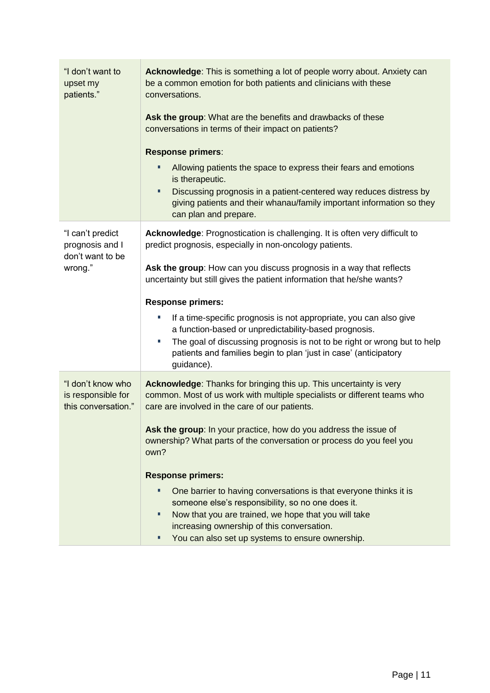| "I don't want to<br>upset my<br>patients."                         | Acknowledge: This is something a lot of people worry about. Anxiety can<br>be a common emotion for both patients and clinicians with these<br>conversations.<br>Ask the group: What are the benefits and drawbacks of these<br>conversations in terms of their impact on patients?                   |
|--------------------------------------------------------------------|------------------------------------------------------------------------------------------------------------------------------------------------------------------------------------------------------------------------------------------------------------------------------------------------------|
|                                                                    | <b>Response primers:</b>                                                                                                                                                                                                                                                                             |
|                                                                    | Allowing patients the space to express their fears and emotions<br>is therapeutic.                                                                                                                                                                                                                   |
|                                                                    | Discussing prognosis in a patient-centered way reduces distress by<br>п<br>giving patients and their whanau/family important information so they<br>can plan and prepare.                                                                                                                            |
| "I can't predict<br>prognosis and I<br>don't want to be<br>wrong." | Acknowledge: Prognostication is challenging. It is often very difficult to<br>predict prognosis, especially in non-oncology patients.                                                                                                                                                                |
|                                                                    | Ask the group: How can you discuss prognosis in a way that reflects<br>uncertainty but still gives the patient information that he/she wants?                                                                                                                                                        |
|                                                                    | <b>Response primers:</b>                                                                                                                                                                                                                                                                             |
|                                                                    | If a time-specific prognosis is not appropriate, you can also give<br>П<br>a function-based or unpredictability-based prognosis.<br>The goal of discussing prognosis is not to be right or wrong but to help<br>I.<br>patients and families begin to plan 'just in case' (anticipatory<br>guidance). |
| "I don't know who                                                  | Acknowledge: Thanks for bringing this up. This uncertainty is very                                                                                                                                                                                                                                   |
| is responsible for<br>this conversation."                          | common. Most of us work with multiple specialists or different teams who<br>care are involved in the care of our patients.                                                                                                                                                                           |
|                                                                    | Ask the group: In your practice, how do you address the issue of<br>ownership? What parts of the conversation or process do you feel you<br>own?                                                                                                                                                     |
|                                                                    | <b>Response primers:</b>                                                                                                                                                                                                                                                                             |
|                                                                    | One barrier to having conversations is that everyone thinks it is<br>п<br>someone else's responsibility, so no one does it.<br>Now that you are trained, we hope that you will take<br>п                                                                                                             |
|                                                                    | increasing ownership of this conversation.                                                                                                                                                                                                                                                           |
|                                                                    | You can also set up systems to ensure ownership.<br>п                                                                                                                                                                                                                                                |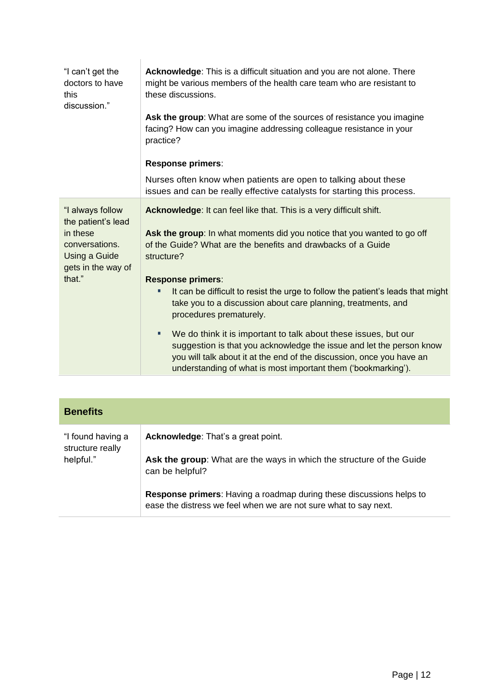| "I can't get the<br>doctors to have<br>this<br>discussion."                           | Acknowledge: This is a difficult situation and you are not alone. There<br>might be various members of the health care team who are resistant to<br>these discussions.                                                                                                                 |
|---------------------------------------------------------------------------------------|----------------------------------------------------------------------------------------------------------------------------------------------------------------------------------------------------------------------------------------------------------------------------------------|
|                                                                                       | Ask the group: What are some of the sources of resistance you imagine<br>facing? How can you imagine addressing colleague resistance in your<br>practice?                                                                                                                              |
|                                                                                       | Response primers:                                                                                                                                                                                                                                                                      |
|                                                                                       | Nurses often know when patients are open to talking about these<br>issues and can be really effective catalysts for starting this process.                                                                                                                                             |
| "I always follow<br>the patient's lead<br>in these<br>conversations.<br>Using a Guide | Acknowledge: It can feel like that. This is a very difficult shift.<br>Ask the group: In what moments did you notice that you wanted to go off<br>of the Guide? What are the benefits and drawbacks of a Guide<br>structure?                                                           |
| gets in the way of<br>that."                                                          | <b>Response primers:</b>                                                                                                                                                                                                                                                               |
|                                                                                       | It can be difficult to resist the urge to follow the patient's leads that might<br>take you to a discussion about care planning, treatments, and<br>procedures prematurely.                                                                                                            |
|                                                                                       | We do think it is important to talk about these issues, but our<br>٠<br>suggestion is that you acknowledge the issue and let the person know<br>you will talk about it at the end of the discussion, once you have an<br>understanding of what is most important them ('bookmarking'). |
|                                                                                       |                                                                                                                                                                                                                                                                                        |

| <b>Benefits</b>                       |                                                                                                                                                 |
|---------------------------------------|-------------------------------------------------------------------------------------------------------------------------------------------------|
| "I found having a<br>structure really | <b>Acknowledge:</b> That's a great point.                                                                                                       |
| helpful."                             | Ask the group: What are the ways in which the structure of the Guide<br>can be helpful?                                                         |
|                                       | <b>Response primers:</b> Having a roadmap during these discussions helps to<br>ease the distress we feel when we are not sure what to say next. |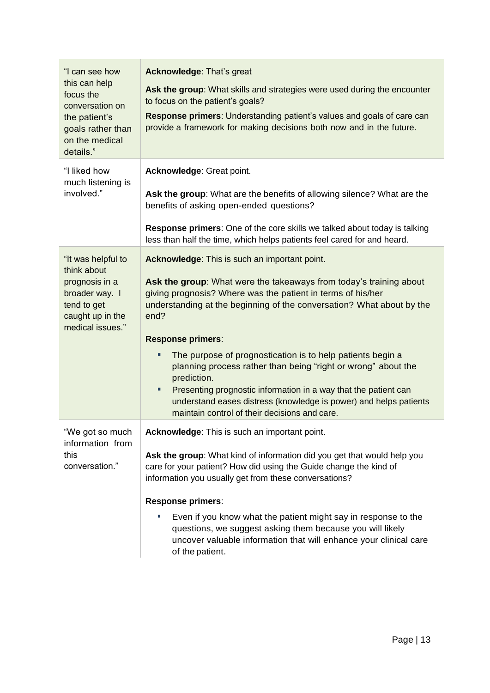| "I can see how<br>this can help<br>focus the<br>conversation on<br>the patient's<br>goals rather than<br>on the medical<br>details." | <b>Acknowledge: That's great</b><br>Ask the group: What skills and strategies were used during the encounter<br>to focus on the patient's goals?<br>Response primers: Understanding patient's values and goals of care can<br>provide a framework for making decisions both now and in the future.                                                                                                                                                                                                                                                                                                                                               |
|--------------------------------------------------------------------------------------------------------------------------------------|--------------------------------------------------------------------------------------------------------------------------------------------------------------------------------------------------------------------------------------------------------------------------------------------------------------------------------------------------------------------------------------------------------------------------------------------------------------------------------------------------------------------------------------------------------------------------------------------------------------------------------------------------|
| "I liked how<br>much listening is<br>involved."                                                                                      | Acknowledge: Great point.<br>Ask the group: What are the benefits of allowing silence? What are the<br>benefits of asking open-ended questions?<br><b>Response primers:</b> One of the core skills we talked about today is talking<br>less than half the time, which helps patients feel cared for and heard.                                                                                                                                                                                                                                                                                                                                   |
| "It was helpful to<br>think about<br>prognosis in a<br>broader way. I<br>tend to get<br>caught up in the<br>medical issues."         | Acknowledge: This is such an important point.<br>Ask the group: What were the takeaways from today's training about<br>giving prognosis? Where was the patient in terms of his/her<br>understanding at the beginning of the conversation? What about by the<br>end?<br><b>Response primers:</b><br>The purpose of prognostication is to help patients begin a<br>٠<br>planning process rather than being "right or wrong" about the<br>prediction.<br>Presenting prognostic information in a way that the patient can<br>٠<br>understand eases distress (knowledge is power) and helps patients<br>maintain control of their decisions and care. |
| "We got so much<br>information from<br>this<br>conversation."                                                                        | Acknowledge: This is such an important point.<br>Ask the group: What kind of information did you get that would help you<br>care for your patient? How did using the Guide change the kind of<br>information you usually get from these conversations?<br><b>Response primers:</b><br>Even if you know what the patient might say in response to the<br>п<br>questions, we suggest asking them because you will likely<br>uncover valuable information that will enhance your clinical care<br>of the patient.                                                                                                                                   |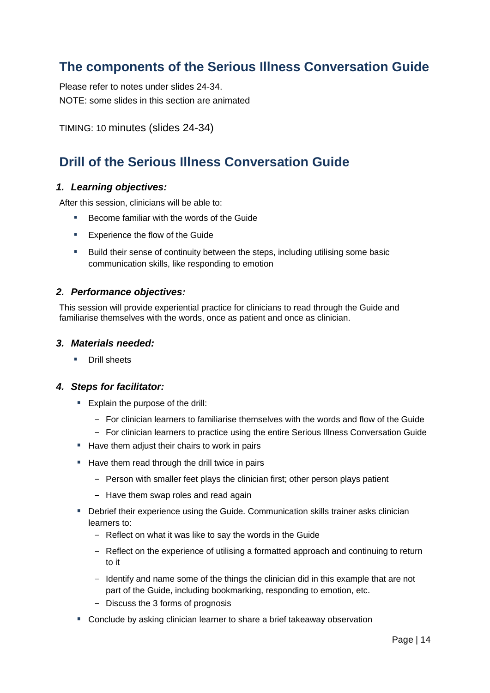### <span id="page-13-0"></span>**The components of the Serious Illness Conversation Guide**

Please refer to notes under slides 24-34. NOTE: some slides in this section are animated

TIMING: 10 minutes (slides 24-34)

### <span id="page-13-1"></span>**Drill of the Serious Illness Conversation Guide**

#### *1. Learning objectives:*

After this session, clinicians will be able to:

- Become familiar with the words of the Guide
- **Experience the flow of the Guide**
- **Build their sense of continuity between the steps, including utilising some basic** communication skills, like responding to emotion

#### *2. Performance objectives:*

This session will provide experiential practice for clinicians to read through the Guide and familiarise themselves with the words, once as patient and once as clinician.

#### *3. Materials needed:*

**Drill sheets** 

#### *4. Steps for facilitator:*

- Explain the purpose of the drill:
	- For clinician learners to familiarise themselves with the words and flow of the Guide
	- For clinician learners to practice using the entire Serious Illness Conversation Guide
- Have them adjust their chairs to work in pairs
- Have them read through the drill twice in pairs
	- Person with smaller feet plays the clinician first; other person plays patient
	- Have them swap roles and read again
- **Debrief their experience using the Guide. Communication skills trainer asks clinician** learners to:
	- Reflect on what it was like to say the words in the Guide
	- Reflect on the experience of utilising a formatted approach and continuing to return to it
	- Identify and name some of the things the clinician did in this example that are not part of the Guide, including bookmarking, responding to emotion, etc.
	- Discuss the 3 forms of prognosis
- Conclude by asking clinician learner to share a brief takeaway observation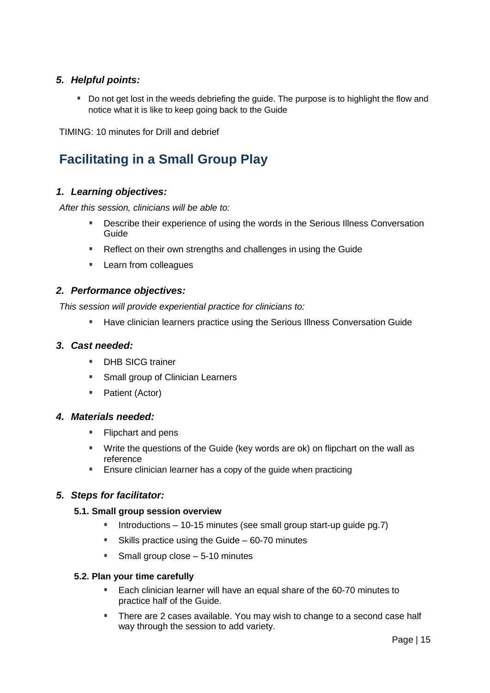#### *5. Helpful points:*

Do not get lost in the weeds debriefing the guide. The purpose is to highlight the flow and notice what it is like to keep going back to the Guide

TIMING: 10 minutes for Drill and debrief

### <span id="page-14-0"></span>**Facilitating in a Small Group Play**

#### *1. Learning objectives:*

*After this session, clinicians will be able to:*

- Describe their experience of using the words in the Serious Illness Conversation Guide
- Reflect on their own strengths and challenges in using the Guide
- **Learn from colleagues**

#### *2. Performance objectives:*

*This session will provide experiential practice for clinicians to:*

**Have clinician learners practice using the Serious Illness Conversation Guide** 

#### *3. Cast needed:*

- **DHB SICG trainer**
- **Small group of Clinician Learners**
- Patient (Actor)

#### *4. Materials needed:*

- **Flipchart and pens**
- Write the questions of the Guide (key words are ok) on flipchart on the wall as reference
- Ensure clinician learner has a copy of the guide when practicing

#### *5. Steps for facilitator:*

#### **5.1. Small group session overview**

- Introductions 10-15 minutes (see small group start-up guide pg.7)
- Skills practice using the Guide 60-70 minutes
- Small group close 5-10 minutes

#### **5.2. Plan your time carefully**

- Each clinician learner will have an equal share of the 60-70 minutes to practice half of the Guide.
- **There are 2 cases available. You may wish to change to a second case half** way through the session to add variety.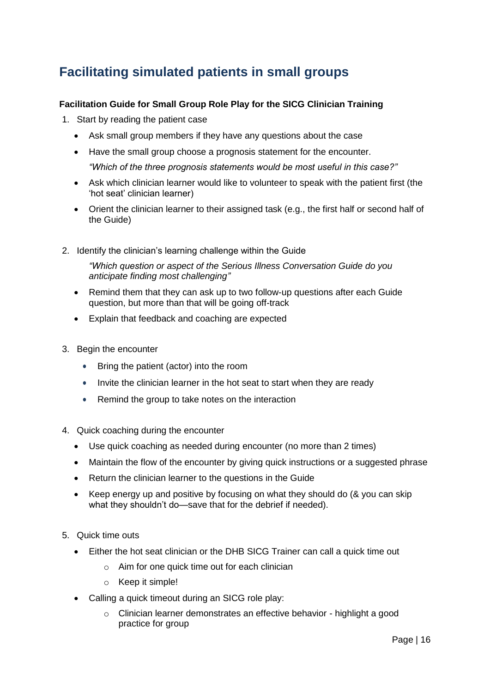### <span id="page-15-0"></span>**Facilitating simulated patients in small groups**

#### **Facilitation Guide for Small Group Role Play for the SICG Clinician Training**

- 1. Start by reading the patient case
	- Ask small group members if they have any questions about the case
	- Have the small group choose a prognosis statement for the encounter. *"Which of the three prognosis statements would be most useful in this case?"*
	- Ask which clinician learner would like to volunteer to speak with the patient first (the 'hot seat' clinician learner)
	- Orient the clinician learner to their assigned task (e.g., the first half or second half of the Guide)
- 2. Identify the clinician's learning challenge within the Guide

*"Which question or aspect of the Serious Illness Conversation Guide do you anticipate finding most challenging"*

- Remind them that they can ask up to two follow-up questions after each Guide question, but more than that will be going off-track
- Explain that feedback and coaching are expected
- 3. Begin the encounter
	- Bring the patient (actor) into the room
	- Invite the clinician learner in the hot seat to start when they are ready
	- Remind the group to take notes on the interaction
- 4. Quick coaching during the encounter
	- Use quick coaching as needed during encounter (no more than 2 times)
	- Maintain the flow of the encounter by giving quick instructions or a suggested phrase
	- Return the clinician learner to the questions in the Guide
	- Keep energy up and positive by focusing on what they should do (& you can skip what they shouldn't do—save that for the debrief if needed).
- 5. Quick time outs
	- Either the hot seat clinician or the DHB SICG Trainer can call a quick time out
		- $\circ$  Aim for one quick time out for each clinician
		- o Keep it simple!
	- Calling a quick timeout during an SICG role play:
		- o Clinician learner demonstrates an effective behavior highlight a good practice for group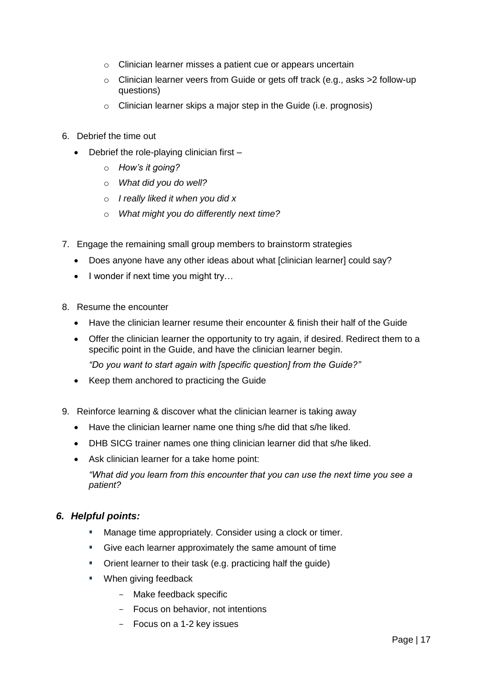- o Clinician learner misses a patient cue or appears uncertain
- o Clinician learner veers from Guide or gets off track (e.g., asks >2 follow-up questions)
- $\circ$  Clinician learner skips a major step in the Guide (i.e. prognosis)
- 6. Debrief the time out
	- Debrief the role-playing clinician first
		- o *How's it going?*
		- o *What did you do well?*
		- o *I really liked it when you did x*
		- o *What might you do differently next time?*
- 7. Engage the remaining small group members to brainstorm strategies
	- Does anyone have any other ideas about what [clinician learner] could say?
	- I wonder if next time you might try...
- 8. Resume the encounter
	- Have the clinician learner resume their encounter & finish their half of the Guide
	- Offer the clinician learner the opportunity to try again, if desired. Redirect them to a specific point in the Guide, and have the clinician learner begin. *"Do you want to start again with [specific question] from the Guide?"*
	- Keep them anchored to practicing the Guide
- 9. Reinforce learning & discover what the clinician learner is taking away
	- Have the clinician learner name one thing s/he did that s/he liked.
	- DHB SICG trainer names one thing clinician learner did that s/he liked.
	- Ask clinician learner for a take home point:

*"What did you learn from this encounter that you can use the next time you see a patient?*

#### *6. Helpful points:*

- **Manage time appropriately. Consider using a clock or timer.**
- Give each learner approximately the same amount of time
- Orient learner to their task (e.g. practicing half the guide)
- When giving feedback
	- Make feedback specific
	- Focus on behavior, not intentions
	- Focus on a 1-2 key issues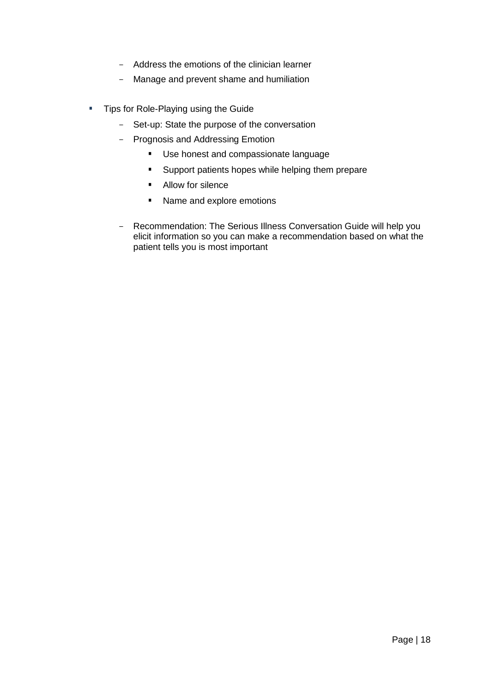- Address the emotions of the clinician learner
- Manage and prevent shame and humiliation
- **Tips for Role-Playing using the Guide** 
	- Set-up: State the purpose of the conversation
	- Prognosis and Addressing Emotion
		- **Use honest and compassionate language**
		- **Support patients hopes while helping them prepare**
		- **Allow for silence**
		- Name and explore emotions
	- Recommendation: The Serious Illness Conversation Guide will help you elicit information so you can make a recommendation based on what the patient tells you is most important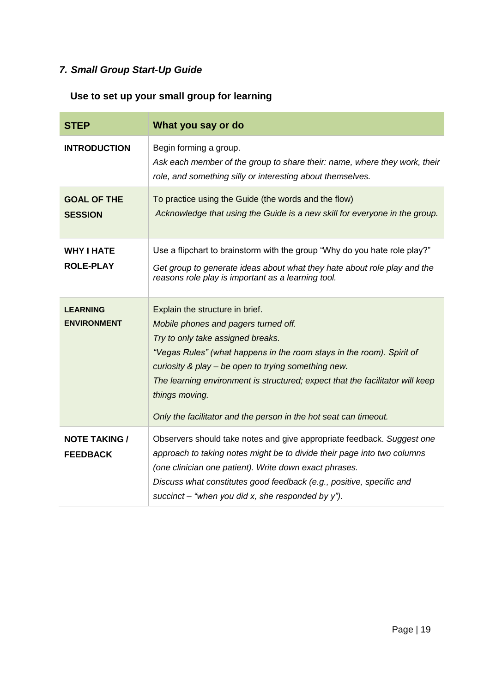### *7. Small Group Start-Up Guide*

### **Use to set up your small group for learning**

| <b>STEP</b>                             | What you say or do                                                                                                                                                                                                                                                                                                                                                                                                  |
|-----------------------------------------|---------------------------------------------------------------------------------------------------------------------------------------------------------------------------------------------------------------------------------------------------------------------------------------------------------------------------------------------------------------------------------------------------------------------|
| <b>INTRODUCTION</b>                     | Begin forming a group.<br>Ask each member of the group to share their: name, where they work, their<br>role, and something silly or interesting about themselves.                                                                                                                                                                                                                                                   |
| <b>GOAL OF THE</b><br><b>SESSION</b>    | To practice using the Guide (the words and the flow)<br>Acknowledge that using the Guide is a new skill for everyone in the group.                                                                                                                                                                                                                                                                                  |
| <b>WHY I HATE</b><br><b>ROLE-PLAY</b>   | Use a flipchart to brainstorm with the group "Why do you hate role play?"<br>Get group to generate ideas about what they hate about role play and the<br>reasons role play is important as a learning tool.                                                                                                                                                                                                         |
| <b>LEARNING</b><br><b>ENVIRONMENT</b>   | Explain the structure in brief.<br>Mobile phones and pagers turned off.<br>Try to only take assigned breaks.<br>"Vegas Rules" (what happens in the room stays in the room). Spirit of<br>curiosity & play - be open to trying something new.<br>The learning environment is structured; expect that the facilitator will keep<br>things moving.<br>Only the facilitator and the person in the hot seat can timeout. |
| <b>NOTE TAKING /</b><br><b>FEEDBACK</b> | Observers should take notes and give appropriate feedback. Suggest one<br>approach to taking notes might be to divide their page into two columns<br>(one clinician one patient). Write down exact phrases.<br>Discuss what constitutes good feedback (e.g., positive, specific and<br>succinct – "when you did x, she responded by y").                                                                            |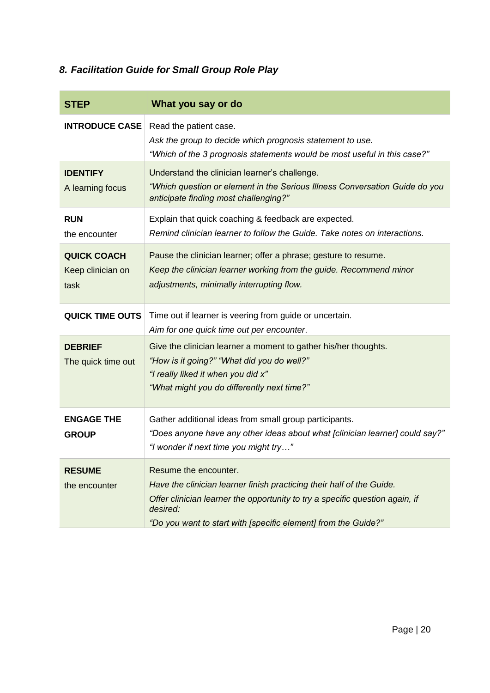### *8. Facilitation Guide for Small Group Role Play*

| <b>STEP</b>                                     | What you say or do                                                                                                                                                                                                                                           |
|-------------------------------------------------|--------------------------------------------------------------------------------------------------------------------------------------------------------------------------------------------------------------------------------------------------------------|
| <b>INTRODUCE CASE</b>                           | Read the patient case.<br>Ask the group to decide which prognosis statement to use.<br>"Which of the 3 prognosis statements would be most useful in this case?"                                                                                              |
| <b>IDENTIFY</b><br>A learning focus             | Understand the clinician learner's challenge.<br>"Which question or element in the Serious Illness Conversation Guide do you<br>anticipate finding most challenging?"                                                                                        |
| <b>RUN</b><br>the encounter                     | Explain that quick coaching & feedback are expected.<br>Remind clinician learner to follow the Guide. Take notes on interactions.                                                                                                                            |
| <b>QUICK COACH</b><br>Keep clinician on<br>task | Pause the clinician learner; offer a phrase; gesture to resume.<br>Keep the clinician learner working from the guide. Recommend minor<br>adjustments, minimally interrupting flow.                                                                           |
| <b>QUICK TIME OUTS</b>                          | Time out if learner is veering from guide or uncertain.<br>Aim for one quick time out per encounter.                                                                                                                                                         |
| <b>DEBRIEF</b><br>The quick time out            | Give the clinician learner a moment to gather his/her thoughts.<br>"How is it going?" "What did you do well?"<br>"I really liked it when you did x"<br>"What might you do differently next time?"                                                            |
| <b>ENGAGE THE</b><br><b>GROUP</b>               | Gather additional ideas from small group participants.<br>"Does anyone have any other ideas about what [clinician learner] could say?"<br>"I wonder if next time you might try"                                                                              |
| <b>RESUME</b><br>the encounter                  | Resume the encounter.<br>Have the clinician learner finish practicing their half of the Guide.<br>Offer clinician learner the opportunity to try a specific question again, if<br>desired:<br>"Do you want to start with [specific element] from the Guide?" |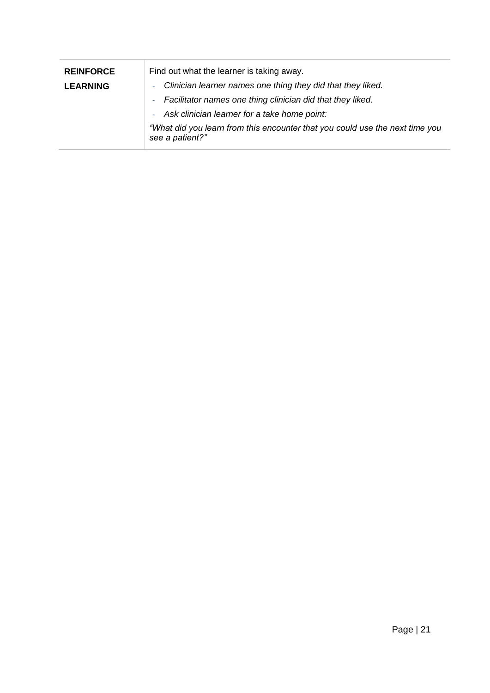| <b>REINFORCE</b> | Find out what the learner is taking away.                                                       |
|------------------|-------------------------------------------------------------------------------------------------|
| <b>LEARNING</b>  | Clinician learner names one thing they did that they liked.<br>a.                               |
|                  | Facilitator names one thing clinician did that they liked.<br>m.                                |
|                  | Ask clinician learner for a take home point:                                                    |
|                  | "What did you learn from this encounter that you could use the next time you<br>see a patient?" |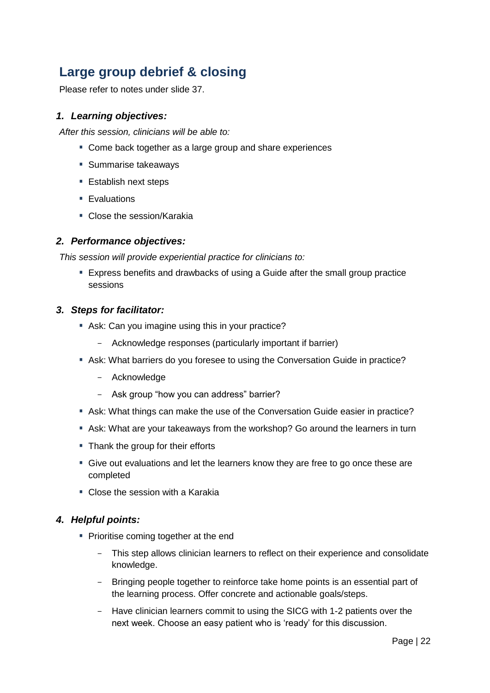### <span id="page-21-0"></span>**Large group debrief & closing**

Please refer to notes under slide 37.

#### *1. Learning objectives:*

*After this session, clinicians will be able to:*

- Come back together as a large group and share experiences
- **Summarise takeaways**
- Establish next steps
- **Evaluations**
- Close the session/Karakia

#### *2. Performance objectives:*

*This session will provide experiential practice for clinicians to:*

 Express benefits and drawbacks of using a Guide after the small group practice sessions

#### *3. Steps for facilitator:*

- Ask: Can you imagine using this in your practice?
	- Acknowledge responses (particularly important if barrier)
- Ask: What barriers do you foresee to using the Conversation Guide in practice?
	- Acknowledge
	- Ask group "how you can address" barrier?
- Ask: What things can make the use of the Conversation Guide easier in practice?
- Ask: What are your takeaways from the workshop? Go around the learners in turn
- Thank the group for their efforts
- Give out evaluations and let the learners know they are free to go once these are completed
- Close the session with a Karakia

#### *4. Helpful points:*

- **Prioritise coming together at the end** 
	- This step allows clinician learners to reflect on their experience and consolidate knowledge.
	- Bringing people together to reinforce take home points is an essential part of the learning process. Offer concrete and actionable goals/steps.
	- Have clinician learners commit to using the SICG with 1-2 patients over the next week. Choose an easy patient who is 'ready' for this discussion.